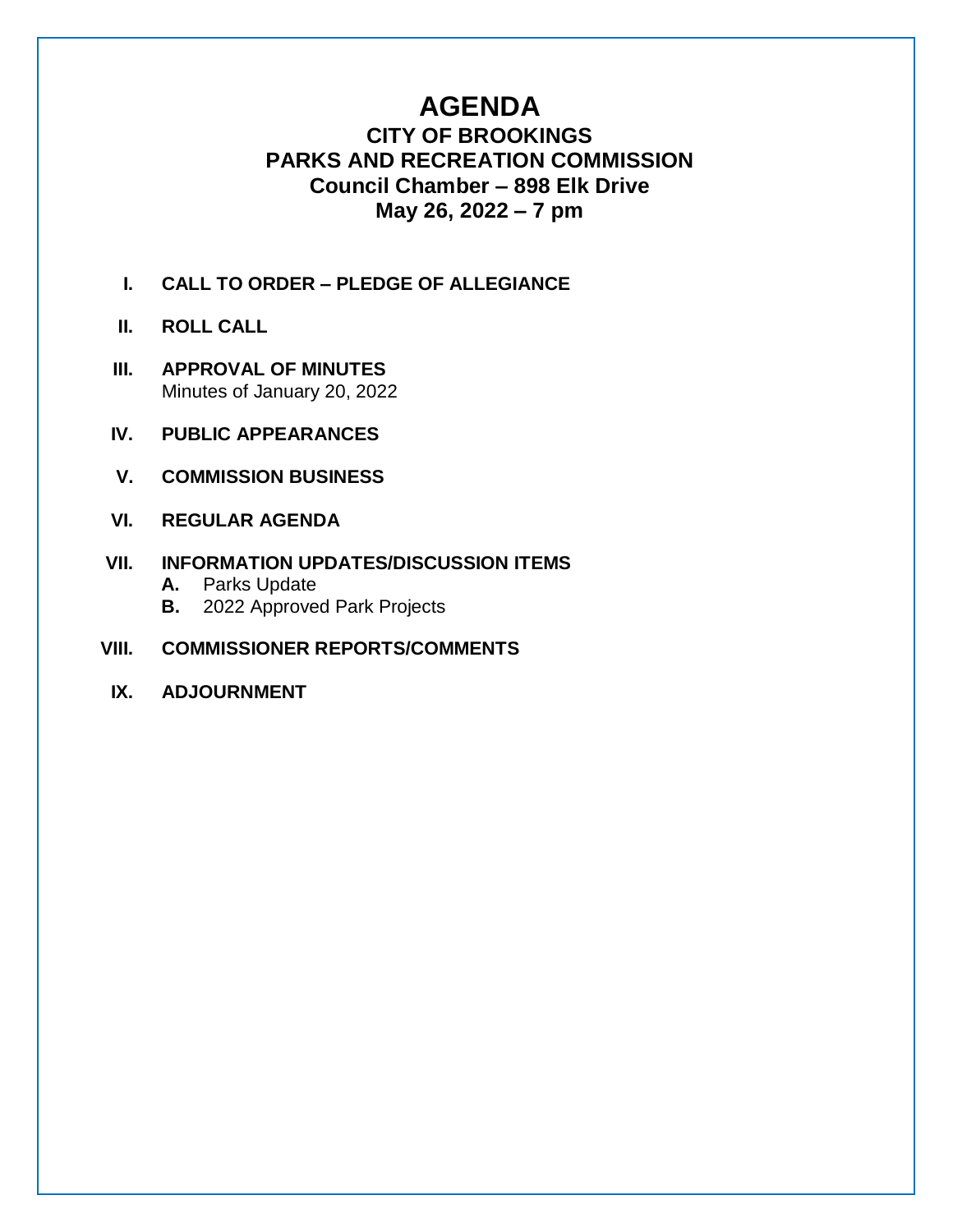# **AGENDA**

# **CITY OF BROOKINGS PARKS AND RECREATION COMMISSION Council Chamber – 898 Elk Drive May 26, 2022 – 7 pm**

- **I. CALL TO ORDER – PLEDGE OF ALLEGIANCE**
- **II. ROLL CALL**
- **III. APPROVAL OF MINUTES** Minutes of January 20, 2022
- **IV. PUBLIC APPEARANCES**
- **V. COMMISSION BUSINESS**
- **VI. REGULAR AGENDA**

## **VII. INFORMATION UPDATES/DISCUSSION ITEMS**

- **A.** Parks Update
- **B.** 2022 Approved Park Projects
- **VIII. COMMISSIONER REPORTS/COMMENTS**
- **IX. ADJOURNMENT**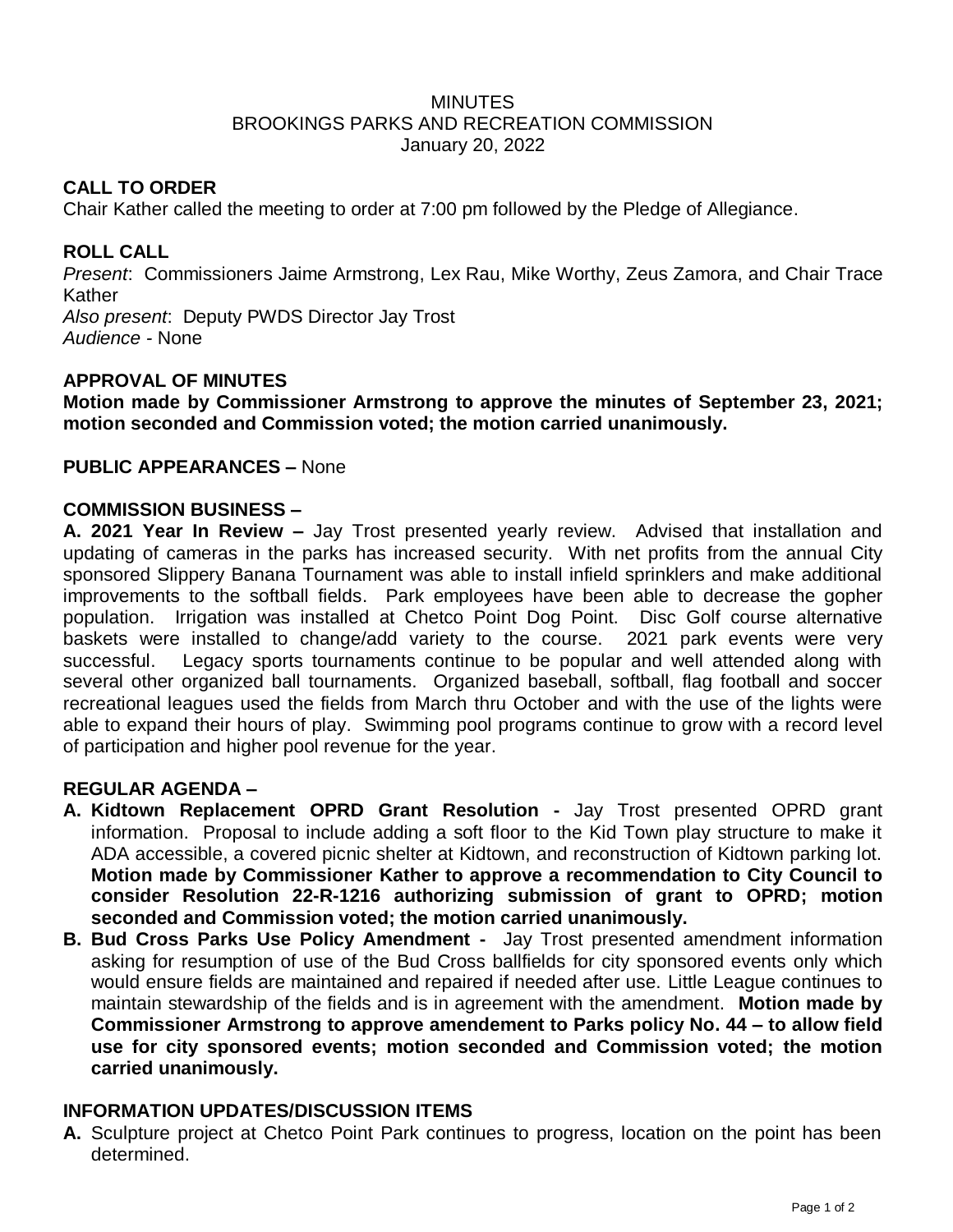#### **MINUTES** BROOKINGS PARKS AND RECREATION COMMISSION January 20, 2022

#### **CALL TO ORDER**

Chair Kather called the meeting to order at 7:00 pm followed by the Pledge of Allegiance.

### **ROLL CALL**

*Present*: Commissioners Jaime Armstrong, Lex Rau, Mike Worthy, Zeus Zamora, and Chair Trace Kather *Also present*: Deputy PWDS Director Jay Trost *Audience -* None

#### **APPROVAL OF MINUTES**

**Motion made by Commissioner Armstrong to approve the minutes of September 23, 2021; motion seconded and Commission voted; the motion carried unanimously.** 

#### **PUBLIC APPEARANCES –** None

#### **COMMISSION BUSINESS –**

**A. 2021 Year In Review –** Jay Trost presented yearly review. Advised that installation and updating of cameras in the parks has increased security. With net profits from the annual City sponsored Slippery Banana Tournament was able to install infield sprinklers and make additional improvements to the softball fields. Park employees have been able to decrease the gopher population. Irrigation was installed at Chetco Point Dog Point. Disc Golf course alternative baskets were installed to change/add variety to the course. 2021 park events were very successful. Legacy sports tournaments continue to be popular and well attended along with several other organized ball tournaments. Organized baseball, softball, flag football and soccer recreational leagues used the fields from March thru October and with the use of the lights were able to expand their hours of play. Swimming pool programs continue to grow with a record level of participation and higher pool revenue for the year.

#### **REGULAR AGENDA –**

- **A. Kidtown Replacement OPRD Grant Resolution -** Jay Trost presented OPRD grant information. Proposal to include adding a soft floor to the Kid Town play structure to make it ADA accessible, a covered picnic shelter at Kidtown, and reconstruction of Kidtown parking lot. **Motion made by Commissioner Kather to approve a recommendation to City Council to consider Resolution 22-R-1216 authorizing submission of grant to OPRD; motion seconded and Commission voted; the motion carried unanimously.**
- **B. Bud Cross Parks Use Policy Amendment -** Jay Trost presented amendment information asking for resumption of use of the Bud Cross ballfields for city sponsored events only which would ensure fields are maintained and repaired if needed after use. Little League continues to maintain stewardship of the fields and is in agreement with the amendment. **Motion made by Commissioner Armstrong to approve amendement to Parks policy No. 44 – to allow field use for city sponsored events; motion seconded and Commission voted; the motion carried unanimously.**

#### **INFORMATION UPDATES/DISCUSSION ITEMS**

**A.** Sculpture project at Chetco Point Park continues to progress, location on the point has been determined.